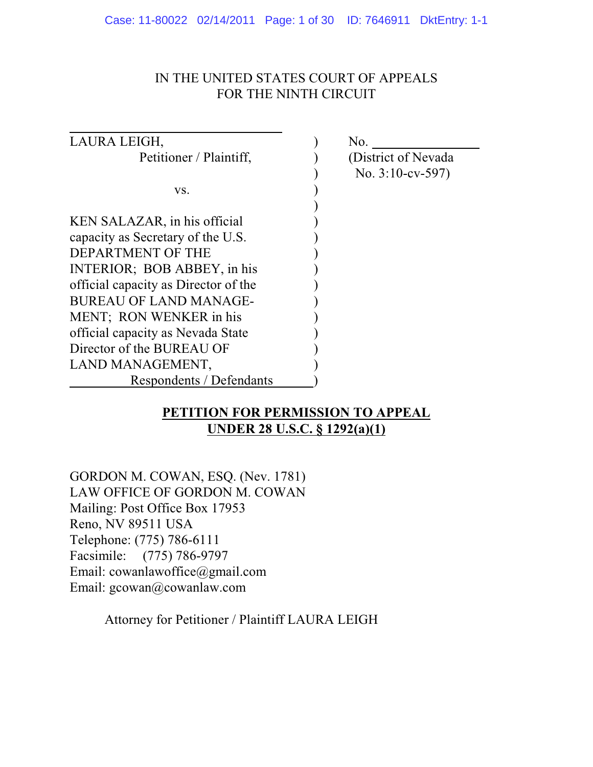### IN THE UNITED STATES COURT OF APPEALS FOR THE NINTH CIRCUIT

| LAURA LEIGH,                         | No. |
|--------------------------------------|-----|
| Petitioner / Plaintiff,              | )1S |
|                                      | No  |
| VS.                                  |     |
|                                      |     |
| KEN SALAZAR, in his official         |     |
| capacity as Secretary of the U.S.    |     |
| DEPARTMENT OF THE                    |     |
| INTERIOR; BOB ABBEY, in his          |     |
| official capacity as Director of the |     |
| <b>BUREAU OF LAND MANAGE-</b>        |     |
| MENT; RON WENKER in his              |     |
| official capacity as Nevada State    |     |
| Director of the BUREAU OF            |     |
| LAND MANAGEMENT,                     |     |
| Respondents / Defendants             |     |

) (District of Nevada ) No. 3:10-cv-597)

# **PETITION FOR PERMISSION TO APPEAL UNDER 28 U.S.C. § 1292(a)(1)**

GORDON M. COWAN, ESQ. (Nev. 1781) LAW OFFICE OF GORDON M. COWAN Mailing: Post Office Box 17953 Reno, NV 89511 USA Telephone: (775) 786-6111 Facsimile: (775) 786-9797 Email: cowanlawoffice@gmail.com Email: gcowan@cowanlaw.com

Attorney for Petitioner / Plaintiff LAURA LEIGH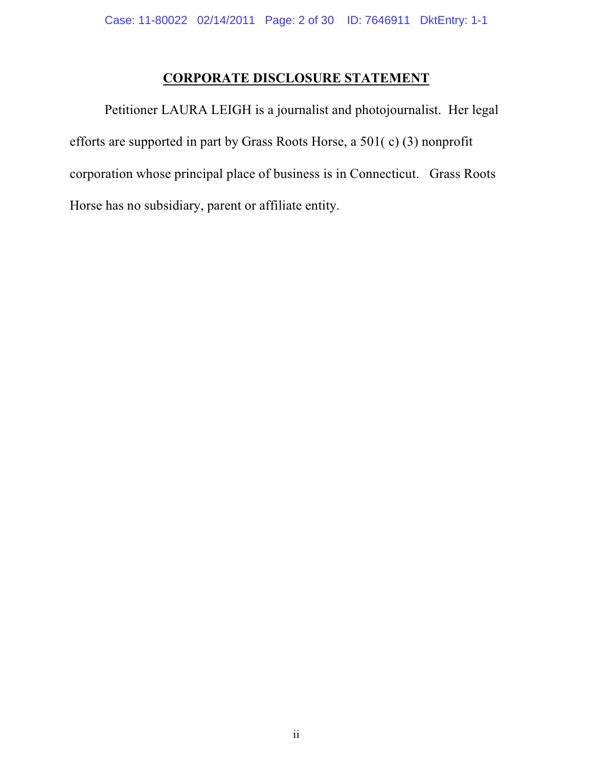# **CORPORATE DISCLOSURE STATEMENT**

Petitioner LAURA LEIGH is a journalist and photojournalist. Her legal efforts are supported in part by Grass Roots Horse, a 501( c) (3) nonprofit corporation whose principal place of business is in Connecticut. Grass Roots Horse has no subsidiary, parent or affiliate entity.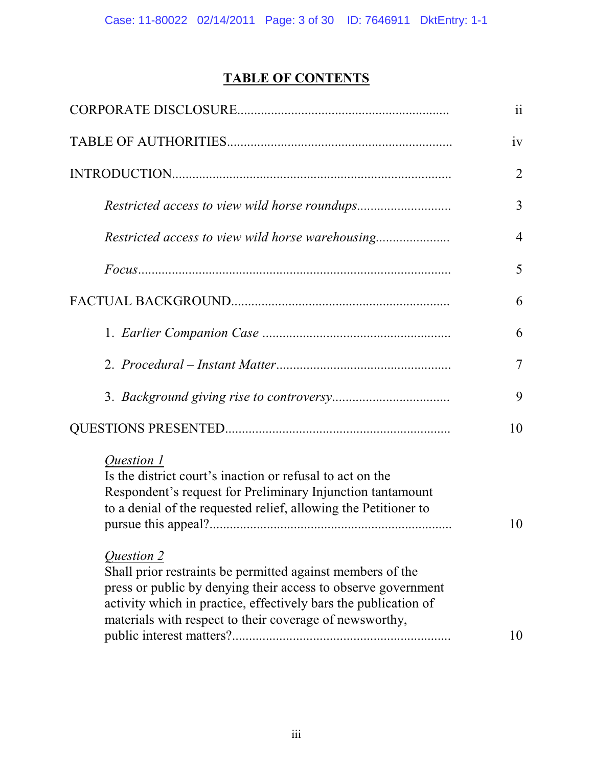# **TABLE OF CONTENTS**

|                                                                                                                                                                                                                                                                         | $\overline{11}$ |
|-------------------------------------------------------------------------------------------------------------------------------------------------------------------------------------------------------------------------------------------------------------------------|-----------------|
|                                                                                                                                                                                                                                                                         | iv              |
|                                                                                                                                                                                                                                                                         | $\overline{2}$  |
|                                                                                                                                                                                                                                                                         | 3               |
| Restricted access to view wild horse warehousing                                                                                                                                                                                                                        | $\overline{4}$  |
|                                                                                                                                                                                                                                                                         | 5               |
|                                                                                                                                                                                                                                                                         | 6               |
|                                                                                                                                                                                                                                                                         | 6               |
|                                                                                                                                                                                                                                                                         | 7               |
|                                                                                                                                                                                                                                                                         | 9               |
|                                                                                                                                                                                                                                                                         | 10              |
| Question 1<br>Is the district court's inaction or refusal to act on the<br>Respondent's request for Preliminary Injunction tantamount<br>to a denial of the requested relief, allowing the Petitioner to                                                                | 10              |
| Question 2<br>Shall prior restraints be permitted against members of the<br>press or public by denying their access to observe government<br>activity which in practice, effectively bars the publication of<br>materials with respect to their coverage of newsworthy, |                 |
|                                                                                                                                                                                                                                                                         | 10              |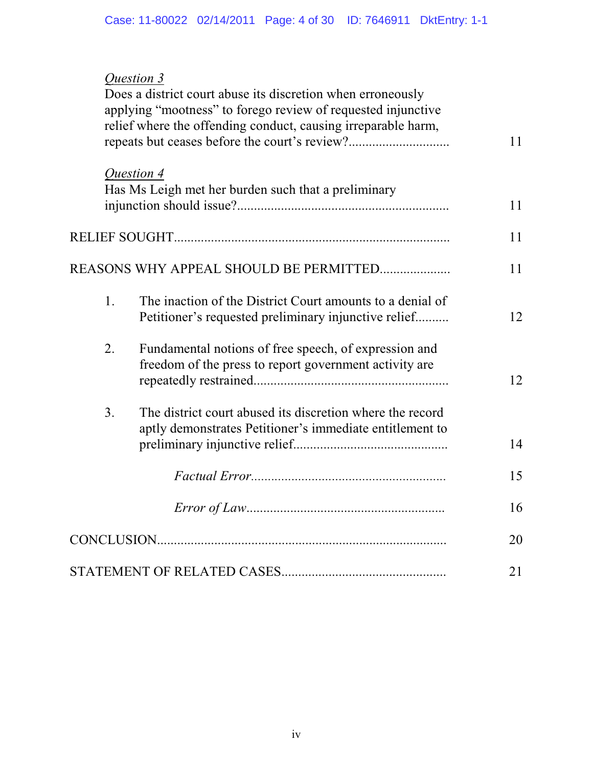|    | Question 3<br>Does a district court abuse its discretion when erroneously<br>applying "mootness" to forego review of requested injunctive<br>relief where the offending conduct, causing irreparable harm, | 11 |
|----|------------------------------------------------------------------------------------------------------------------------------------------------------------------------------------------------------------|----|
|    | Question 4<br>Has Ms Leigh met her burden such that a preliminary                                                                                                                                          |    |
|    |                                                                                                                                                                                                            | 11 |
|    |                                                                                                                                                                                                            | 11 |
|    | REASONS WHY APPEAL SHOULD BE PERMITTED                                                                                                                                                                     | 11 |
| 1. | The inaction of the District Court amounts to a denial of<br>Petitioner's requested preliminary injunctive relief                                                                                          | 12 |
| 2. | Fundamental notions of free speech, of expression and<br>freedom of the press to report government activity are                                                                                            | 12 |
| 3. | The district court abused its discretion where the record<br>aptly demonstrates Petitioner's immediate entitlement to                                                                                      | 14 |
|    |                                                                                                                                                                                                            | 15 |
|    |                                                                                                                                                                                                            | 16 |
|    |                                                                                                                                                                                                            | 20 |
|    |                                                                                                                                                                                                            | 21 |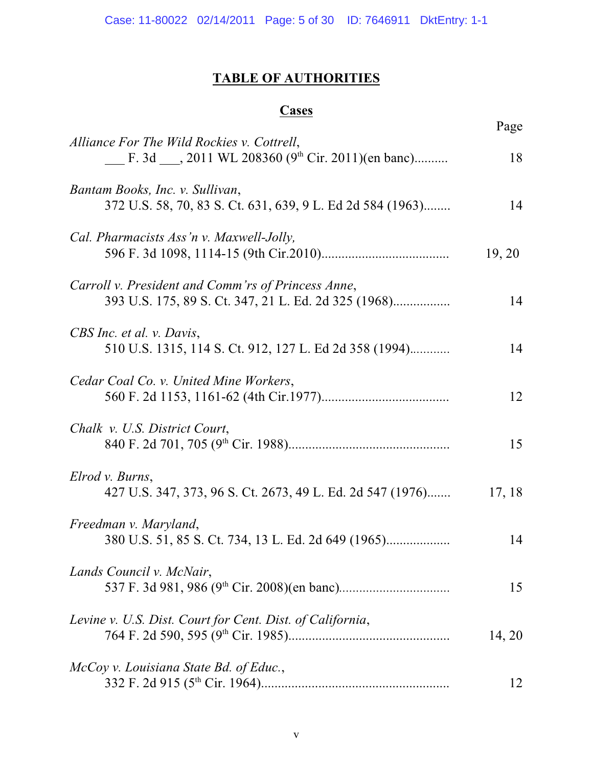# **TABLE OF AUTHORITIES**

# **Cases**

|                                                                                                                                                       | Page   |
|-------------------------------------------------------------------------------------------------------------------------------------------------------|--------|
| Alliance For The Wild Rockies v. Cottrell,<br>$\frac{1}{\sqrt{15}}$ F. 3d $\frac{1}{\sqrt{15}}$ , 2011 WL 208360 (9 <sup>th</sup> Cir. 2011)(en banc) | 18     |
| Bantam Books, Inc. v. Sullivan,<br>372 U.S. 58, 70, 83 S. Ct. 631, 639, 9 L. Ed 2d 584 (1963)                                                         | 14     |
| Cal. Pharmacists Ass'n v. Maxwell-Jolly,                                                                                                              | 19, 20 |
| Carroll v. President and Comm'rs of Princess Anne,<br>393 U.S. 175, 89 S. Ct. 347, 21 L. Ed. 2d 325 (1968)                                            | 14     |
| CBS Inc. et al. v. Davis,<br>510 U.S. 1315, 114 S. Ct. 912, 127 L. Ed 2d 358 (1994)                                                                   | 14     |
| Cedar Coal Co. v. United Mine Workers,                                                                                                                | 12     |
| Chalk v. U.S. District Court,                                                                                                                         | 15     |
| Elrod v. Burns,<br>427 U.S. 347, 373, 96 S. Ct. 2673, 49 L. Ed. 2d 547 (1976)                                                                         | 17, 18 |
| Freedman v. Maryland,<br>380 U.S. 51, 85 S. Ct. 734, 13 L. Ed. 2d 649 (1965)                                                                          | 14     |
| Lands Council v. McNair,                                                                                                                              | 15     |
| Levine v. U.S. Dist. Court for Cent. Dist. of California,                                                                                             | 14, 20 |
| McCoy v. Louisiana State Bd. of Educ.,                                                                                                                | 12     |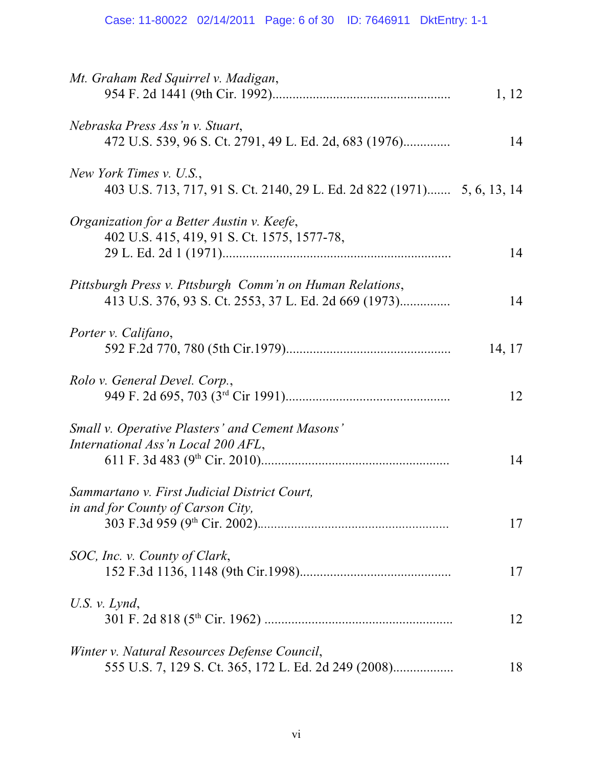| Mt. Graham Red Squirrel v. Madigan,                                                                               | 1, 12  |
|-------------------------------------------------------------------------------------------------------------------|--------|
| Nebraska Press Ass'n v. Stuart,<br>472 U.S. 539, 96 S. Ct. 2791, 49 L. Ed. 2d, 683 (1976)                         | 14     |
| New York Times v. U.S.,<br>403 U.S. 713, 717, 91 S. Ct. 2140, 29 L. Ed. 2d 822 (1971) 5, 6, 13, 14                |        |
| Organization for a Better Austin v. Keefe,<br>402 U.S. 415, 419, 91 S. Ct. 1575, 1577-78,                         | 14     |
| Pittsburgh Press v. Pttsburgh Comm'n on Human Relations,<br>413 U.S. 376, 93 S. Ct. 2553, 37 L. Ed. 2d 669 (1973) | 14     |
| Porter v. Califano,                                                                                               | 14, 17 |
| Rolo v. General Devel. Corp.,                                                                                     | 12     |
| Small v. Operative Plasters' and Cement Masons'<br>International Ass'n Local 200 AFL,                             | 14     |
| Sammartano v. First Judicial District Court,<br>in and for County of Carson City,                                 | 17     |
| SOC, Inc. v. County of Clark,                                                                                     | 17     |
| U.S. $v.$ Lynd,                                                                                                   | 12     |
| Winter v. Natural Resources Defense Council,<br>555 U.S. 7, 129 S. Ct. 365, 172 L. Ed. 2d 249 (2008)              | 18     |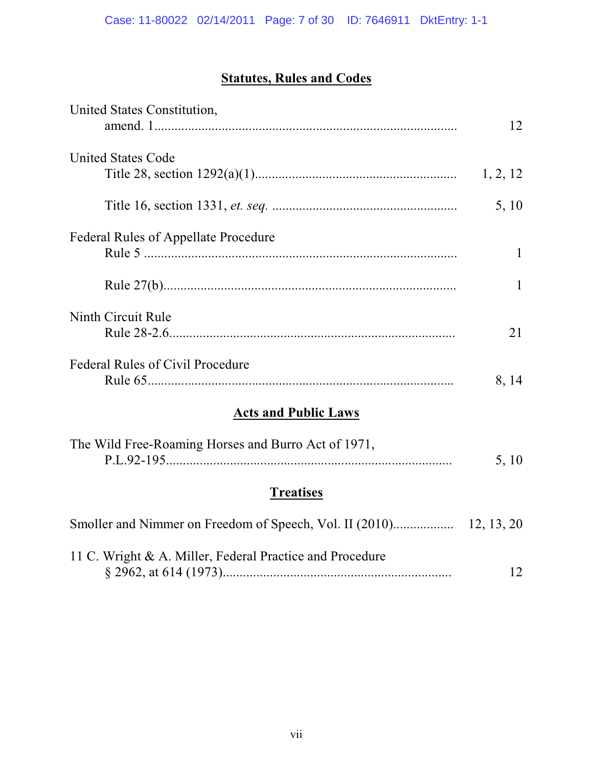# **Statutes, Rules and Codes**

| United States Constitution,                              |              |
|----------------------------------------------------------|--------------|
|                                                          | 12           |
| <b>United States Code</b>                                |              |
|                                                          |              |
|                                                          | 5, 10        |
| <b>Federal Rules of Appellate Procedure</b>              |              |
|                                                          | $\mathbf{1}$ |
|                                                          | $\mathbf{1}$ |
| Ninth Circuit Rule                                       |              |
|                                                          | 21           |
| Federal Rules of Civil Procedure                         | 8, 14        |
| <b>Acts and Public Laws</b>                              |              |
| The Wild Free-Roaming Horses and Burro Act of 1971,      | 5, 10        |
| <b>Treatises</b>                                         |              |
|                                                          |              |
| 11 C. Wright & A. Miller, Federal Practice and Procedure | 12           |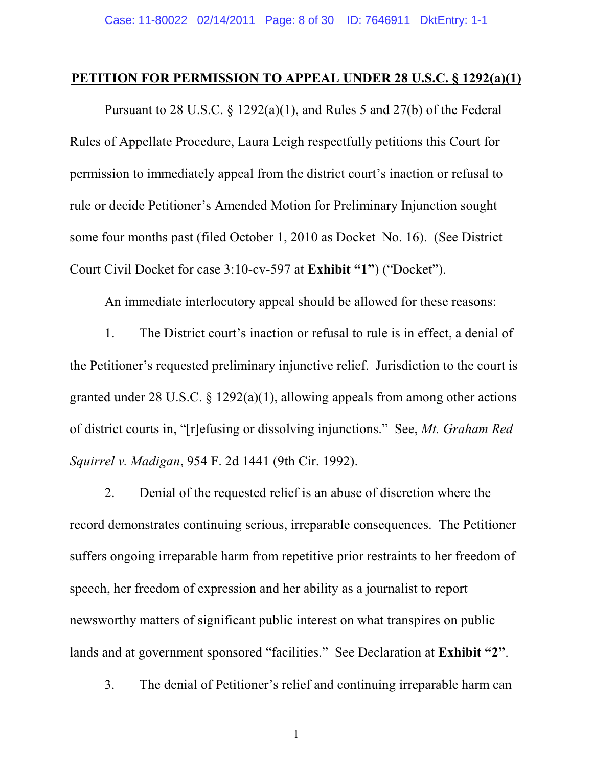### **PETITION FOR PERMISSION TO APPEAL UNDER 28 U.S.C. § 1292(a)(1)**

Pursuant to 28 U.S.C. § 1292(a)(1), and Rules 5 and 27(b) of the Federal Rules of Appellate Procedure, Laura Leigh respectfully petitions this Court for permission to immediately appeal from the district court's inaction or refusal to rule or decide Petitioner's Amended Motion for Preliminary Injunction sought some four months past (filed October 1, 2010 as Docket No. 16). (See District Court Civil Docket for case 3:10-cv-597 at **Exhibit "1"**) ("Docket").

An immediate interlocutory appeal should be allowed for these reasons:

1. The District court's inaction or refusal to rule is in effect, a denial of the Petitioner's requested preliminary injunctive relief. Jurisdiction to the court is granted under 28 U.S.C. § 1292(a)(1), allowing appeals from among other actions of district courts in, "[r]efusing or dissolving injunctions." See, *Mt. Graham Red Squirrel v. Madigan*, 954 F. 2d 1441 (9th Cir. 1992).

2. Denial of the requested relief is an abuse of discretion where the record demonstrates continuing serious, irreparable consequences. The Petitioner suffers ongoing irreparable harm from repetitive prior restraints to her freedom of speech, her freedom of expression and her ability as a journalist to report newsworthy matters of significant public interest on what transpires on public lands and at government sponsored "facilities." See Declaration at **Exhibit "2"**.

3. The denial of Petitioner's relief and continuing irreparable harm can

1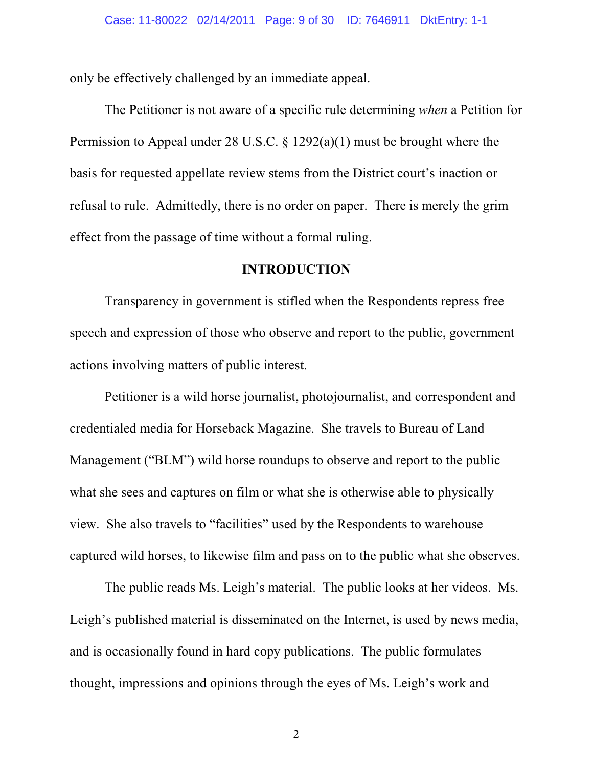only be effectively challenged by an immediate appeal.

The Petitioner is not aware of a specific rule determining *when* a Petition for Permission to Appeal under 28 U.S.C. § 1292(a)(1) must be brought where the basis for requested appellate review stems from the District court's inaction or refusal to rule. Admittedly, there is no order on paper. There is merely the grim effect from the passage of time without a formal ruling.

#### **INTRODUCTION**

Transparency in government is stifled when the Respondents repress free speech and expression of those who observe and report to the public, government actions involving matters of public interest.

Petitioner is a wild horse journalist, photojournalist, and correspondent and credentialed media for Horseback Magazine. She travels to Bureau of Land Management ("BLM") wild horse roundups to observe and report to the public what she sees and captures on film or what she is otherwise able to physically view. She also travels to "facilities" used by the Respondents to warehouse captured wild horses, to likewise film and pass on to the public what she observes.

The public reads Ms. Leigh's material. The public looks at her videos. Ms. Leigh's published material is disseminated on the Internet, is used by news media, and is occasionally found in hard copy publications. The public formulates thought, impressions and opinions through the eyes of Ms. Leigh's work and

2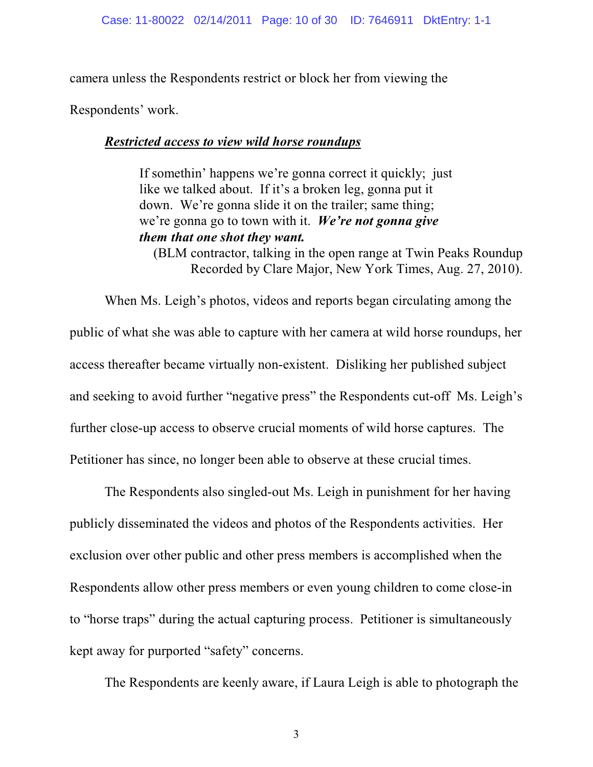camera unless the Respondents restrict or block her from viewing the

Respondents' work.

### *Restricted access to view wild horse roundups*

If somethin' happens we're gonna correct it quickly; just like we talked about. If it's a broken leg, gonna put it down. We're gonna slide it on the trailer; same thing; we're gonna go to town with it. *We're not gonna give them that one shot they want.*

(BLM contractor, talking in the open range at Twin Peaks Roundup Recorded by Clare Major, New York Times, Aug. 27, 2010).

When Ms. Leigh's photos, videos and reports began circulating among the public of what she was able to capture with her camera at wild horse roundups, her access thereafter became virtually non-existent. Disliking her published subject and seeking to avoid further "negative press" the Respondents cut-off Ms. Leigh's further close-up access to observe crucial moments of wild horse captures. The Petitioner has since, no longer been able to observe at these crucial times.

The Respondents also singled-out Ms. Leigh in punishment for her having publicly disseminated the videos and photos of the Respondents activities. Her exclusion over other public and other press members is accomplished when the Respondents allow other press members or even young children to come close-in to "horse traps" during the actual capturing process. Petitioner is simultaneously kept away for purported "safety" concerns.

The Respondents are keenly aware, if Laura Leigh is able to photograph the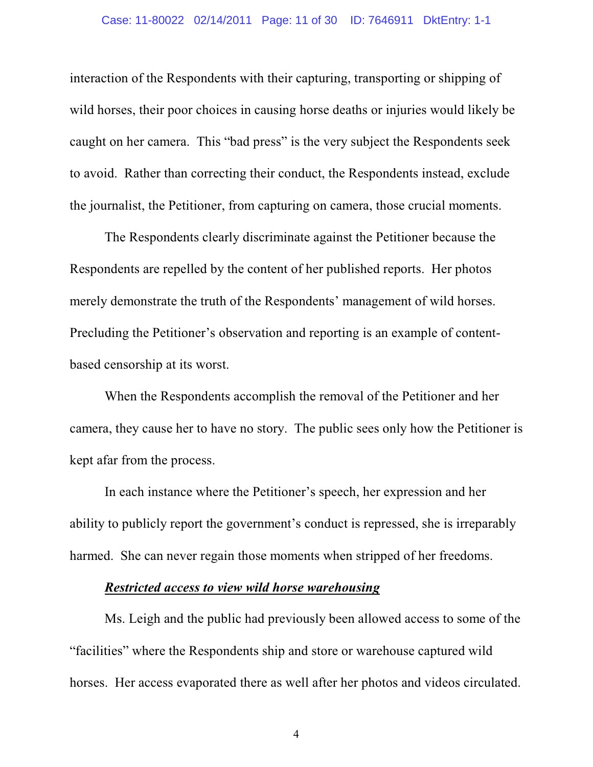interaction of the Respondents with their capturing, transporting or shipping of wild horses, their poor choices in causing horse deaths or injuries would likely be caught on her camera. This "bad press" is the very subject the Respondents seek to avoid. Rather than correcting their conduct, the Respondents instead, exclude the journalist, the Petitioner, from capturing on camera, those crucial moments.

The Respondents clearly discriminate against the Petitioner because the Respondents are repelled by the content of her published reports. Her photos merely demonstrate the truth of the Respondents' management of wild horses. Precluding the Petitioner's observation and reporting is an example of contentbased censorship at its worst.

When the Respondents accomplish the removal of the Petitioner and her camera, they cause her to have no story. The public sees only how the Petitioner is kept afar from the process.

In each instance where the Petitioner's speech, her expression and her ability to publicly report the government's conduct is repressed, she is irreparably harmed. She can never regain those moments when stripped of her freedoms.

## *Restricted access to view wild horse warehousing*

Ms. Leigh and the public had previously been allowed access to some of the "facilities" where the Respondents ship and store or warehouse captured wild horses. Her access evaporated there as well after her photos and videos circulated.

4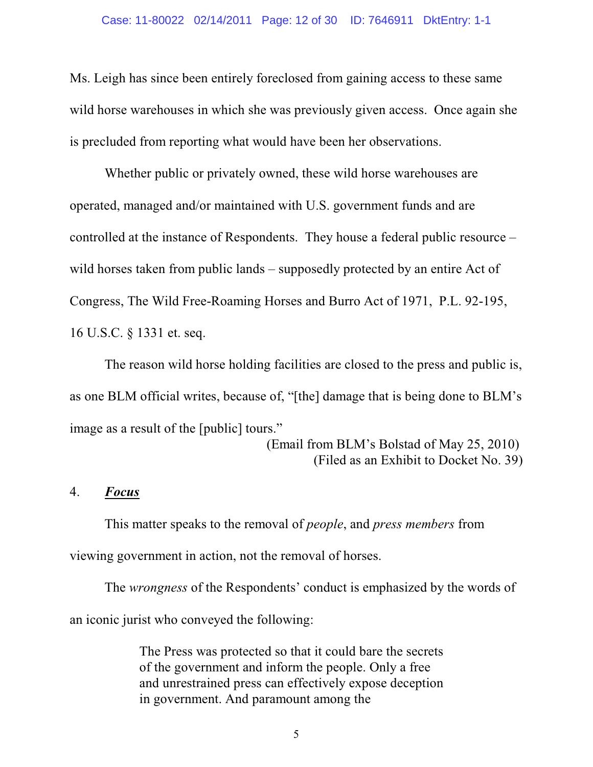Ms. Leigh has since been entirely foreclosed from gaining access to these same wild horse warehouses in which she was previously given access. Once again she is precluded from reporting what would have been her observations.

Whether public or privately owned, these wild horse warehouses are operated, managed and/or maintained with U.S. government funds and are controlled at the instance of Respondents. They house a federal public resource – wild horses taken from public lands – supposedly protected by an entire Act of Congress, The Wild Free-Roaming Horses and Burro Act of 1971, P.L. 92-195, 16 U.S.C. § 1331 et. seq.

The reason wild horse holding facilities are closed to the press and public is, as one BLM official writes, because of, "[the] damage that is being done to BLM's image as a result of the [public] tours."

> (Email from BLM's Bolstad of May 25, 2010) (Filed as an Exhibit to Docket No. 39)

### 4. *Focus*

This matter speaks to the removal of *people*, and *press members* from viewing government in action, not the removal of horses.

The *wrongness* of the Respondents' conduct is emphasized by the words of an iconic jurist who conveyed the following:

> The Press was protected so that it could bare the secrets of the government and inform the people. Only a free and unrestrained press can effectively expose deception in government. And paramount among the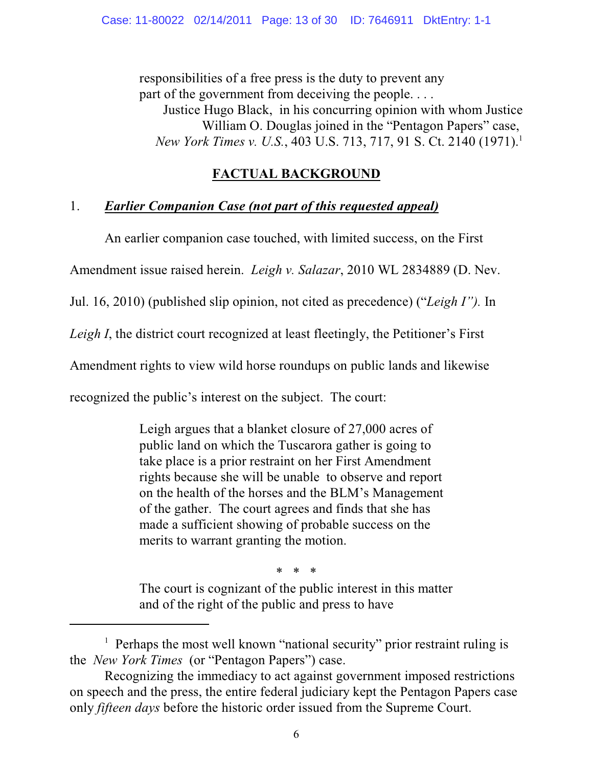responsibilities of a free press is the duty to prevent any part of the government from deceiving the people. . . . Justice Hugo Black, in his concurring opinion with whom Justice William O. Douglas joined in the "Pentagon Papers" case, *New York Times v. U.S.*, 403 U.S. 713, 717, 91 S. Ct. 2140 (1971).<sup>1</sup>

# **FACTUAL BACKGROUND**

# 1. *Earlier Companion Case (not part of this requested appeal)*

An earlier companion case touched, with limited success, on the First

Amendment issue raised herein. *Leigh v. Salazar*, 2010 WL 2834889 (D. Nev.

Jul. 16, 2010) (published slip opinion, not cited as precedence) ("*Leigh I").* In

*Leigh I*, the district court recognized at least fleetingly, the Petitioner's First

Amendment rights to view wild horse roundups on public lands and likewise

recognized the public's interest on the subject. The court:

Leigh argues that a blanket closure of 27,000 acres of public land on which the Tuscarora gather is going to take place is a prior restraint on her First Amendment rights because she will be unable to observe and report on the health of the horses and the BLM's Management of the gather. The court agrees and finds that she has made a sufficient showing of probable success on the merits to warrant granting the motion.

\* \* \*

The court is cognizant of the public interest in this matter and of the right of the public and press to have

<sup>&</sup>lt;sup>1</sup> Perhaps the most well known "national security" prior restraint ruling is the *New York Times* (or "Pentagon Papers") case.

Recognizing the immediacy to act against government imposed restrictions on speech and the press, the entire federal judiciary kept the Pentagon Papers case only *fifteen days* before the historic order issued from the Supreme Court.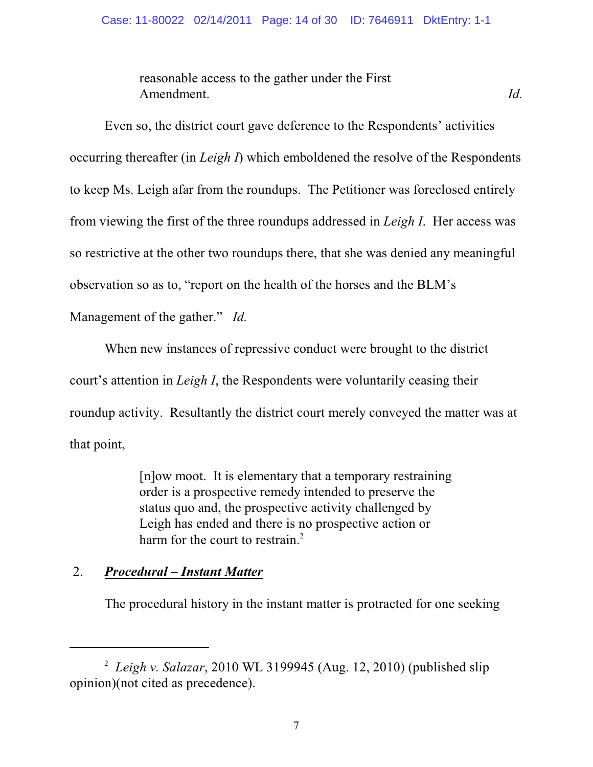reasonable access to the gather under the First Amendment. *Id.* 

Even so, the district court gave deference to the Respondents' activities occurring thereafter (in *Leigh I*) which emboldened the resolve of the Respondents to keep Ms. Leigh afar from the roundups. The Petitioner was foreclosed entirely from viewing the first of the three roundups addressed in *Leigh I*. Her access was so restrictive at the other two roundups there, that she was denied any meaningful observation so as to, "report on the health of the horses and the BLM's

Management of the gather." *Id.*

When new instances of repressive conduct were brought to the district court's attention in *Leigh I*, the Respondents were voluntarily ceasing their roundup activity. Resultantly the district court merely conveyed the matter was at that point,

> [n]ow moot. It is elementary that a temporary restraining order is a prospective remedy intended to preserve the status quo and, the prospective activity challenged by Leigh has ended and there is no prospective action or harm for the court to restrain.<sup>2</sup>

# 2. *Procedural – Instant Matter*

The procedural history in the instant matter is protracted for one seeking

<sup>&</sup>lt;sup>2</sup> Leigh v. Salazar, 2010 WL 3199945 (Aug. 12, 2010) (published slip opinion)(not cited as precedence).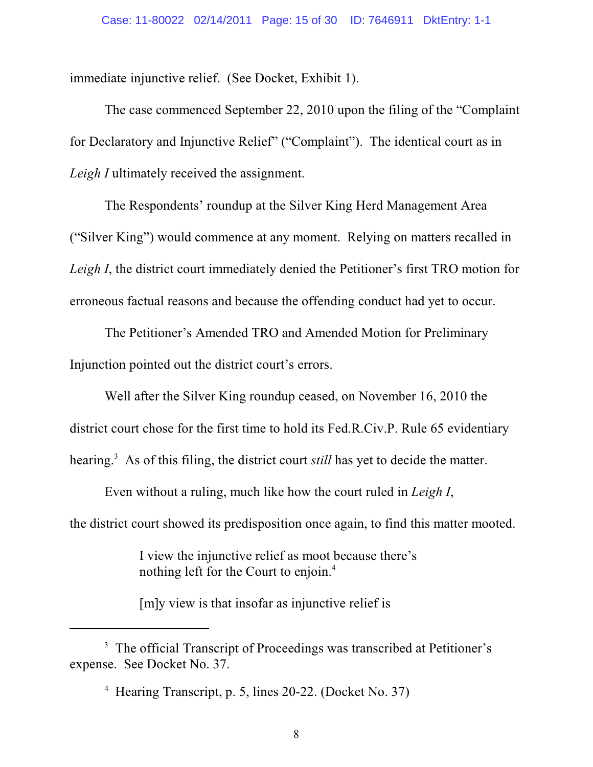immediate injunctive relief. (See Docket, Exhibit 1).

The case commenced September 22, 2010 upon the filing of the "Complaint for Declaratory and Injunctive Relief" ("Complaint"). The identical court as in *Leigh I* ultimately received the assignment.

The Respondents' roundup at the Silver King Herd Management Area ("Silver King") would commence at any moment. Relying on matters recalled in *Leigh I*, the district court immediately denied the Petitioner's first TRO motion for erroneous factual reasons and because the offending conduct had yet to occur.

The Petitioner's Amended TRO and Amended Motion for Preliminary Injunction pointed out the district court's errors.

Well after the Silver King roundup ceased, on November 16, 2010 the district court chose for the first time to hold its Fed.R.Civ.P. Rule 65 evidentiary hearing.<sup>3</sup> As of this filing, the district court *still* has yet to decide the matter.

Even without a ruling, much like how the court ruled in *Leigh I*, the district court showed its predisposition once again, to find this matter mooted.

> I view the injunctive relief as moot because there's nothing left for the Court to enjoin. 4

[m]y view is that insofar as injunctive relief is

<sup>&</sup>lt;sup>3</sup> The official Transcript of Proceedings was transcribed at Petitioner's expense. See Docket No. 37.

 $4$  Hearing Transcript, p. 5, lines 20-22. (Docket No. 37)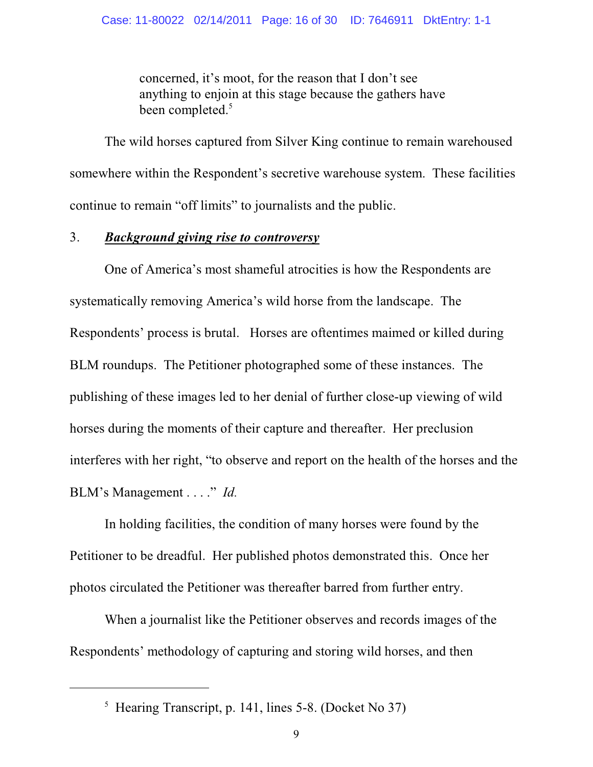concerned, it's moot, for the reason that I don't see anything to enjoin at this stage because the gathers have been completed.<sup>5</sup>

The wild horses captured from Silver King continue to remain warehoused somewhere within the Respondent's secretive warehouse system. These facilities continue to remain "off limits" to journalists and the public.

#### 3. *Background giving rise to controversy*

One of America's most shameful atrocities is how the Respondents are systematically removing America's wild horse from the landscape. The Respondents' process is brutal. Horses are oftentimes maimed or killed during BLM roundups. The Petitioner photographed some of these instances. The publishing of these images led to her denial of further close-up viewing of wild horses during the moments of their capture and thereafter. Her preclusion interferes with her right, "to observe and report on the health of the horses and the BLM's Management . . . ." *Id.* 

In holding facilities, the condition of many horses were found by the Petitioner to be dreadful. Her published photos demonstrated this. Once her photos circulated the Petitioner was thereafter barred from further entry.

When a journalist like the Petitioner observes and records images of the Respondents' methodology of capturing and storing wild horses, and then

 $<sup>5</sup>$  Hearing Transcript, p. 141, lines 5-8. (Docket No 37)</sup>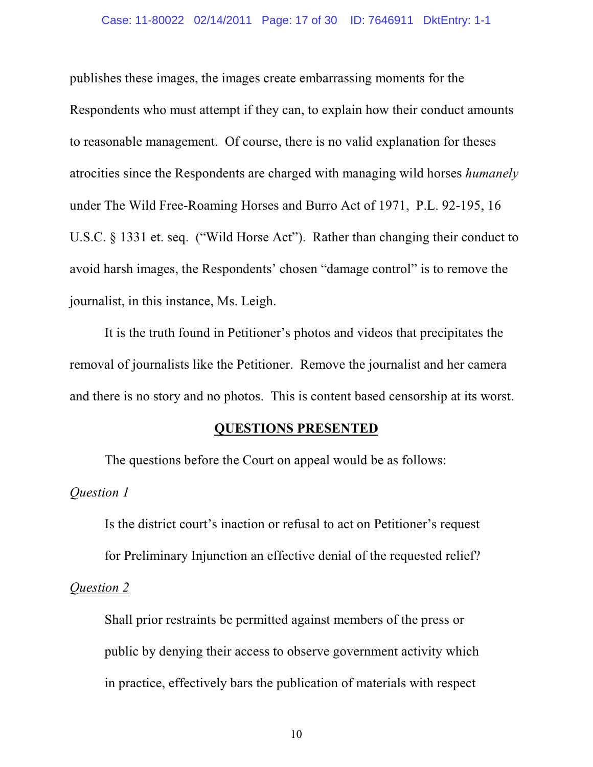#### Case: 11-80022 02/14/2011 Page: 17 of 30 ID: 7646911 DktEntry: 1-1

publishes these images, the images create embarrassing moments for the Respondents who must attempt if they can, to explain how their conduct amounts to reasonable management. Of course, there is no valid explanation for theses atrocities since the Respondents are charged with managing wild horses *humanely* under The Wild Free-Roaming Horses and Burro Act of 1971, P.L. 92-195, 16 U.S.C. § 1331 et. seq. ("Wild Horse Act"). Rather than changing their conduct to avoid harsh images, the Respondents' chosen "damage control" is to remove the journalist, in this instance, Ms. Leigh.

It is the truth found in Petitioner's photos and videos that precipitates the removal of journalists like the Petitioner. Remove the journalist and her camera and there is no story and no photos. This is content based censorship at its worst.

#### **QUESTIONS PRESENTED**

The questions before the Court on appeal would be as follows: *Question 1*

Is the district court's inaction or refusal to act on Petitioner's request for Preliminary Injunction an effective denial of the requested relief? *Question 2*

Shall prior restraints be permitted against members of the press or public by denying their access to observe government activity which in practice, effectively bars the publication of materials with respect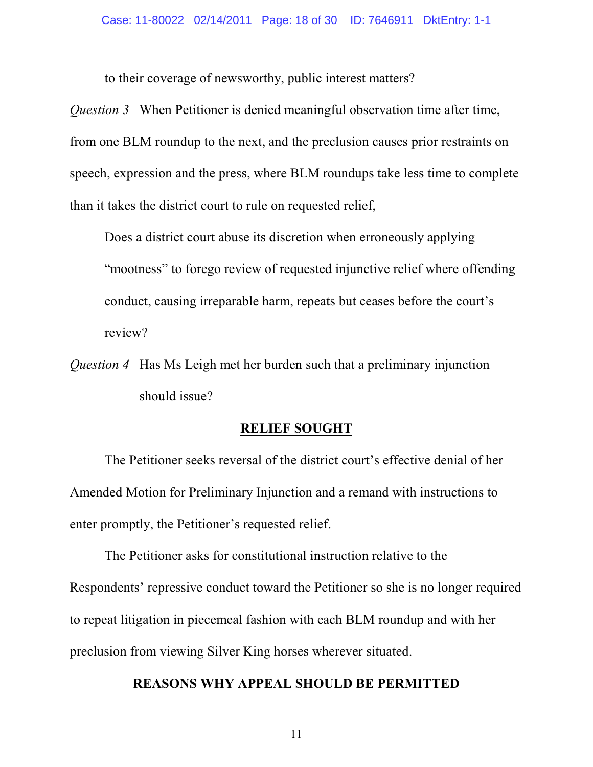to their coverage of newsworthy, public interest matters?

*Question 3* When Petitioner is denied meaningful observation time after time, from one BLM roundup to the next, and the preclusion causes prior restraints on speech, expression and the press, where BLM roundups take less time to complete than it takes the district court to rule on requested relief,

Does a district court abuse its discretion when erroneously applying "mootness" to forego review of requested injunctive relief where offending conduct, causing irreparable harm, repeats but ceases before the court's review?

*Question 4* Has Ms Leigh met her burden such that a preliminary injunction should issue?

#### **RELIEF SOUGHT**

The Petitioner seeks reversal of the district court's effective denial of her Amended Motion for Preliminary Injunction and a remand with instructions to enter promptly, the Petitioner's requested relief.

The Petitioner asks for constitutional instruction relative to the Respondents' repressive conduct toward the Petitioner so she is no longer required to repeat litigation in piecemeal fashion with each BLM roundup and with her preclusion from viewing Silver King horses wherever situated.

### **REASONS WHY APPEAL SHOULD BE PERMITTED**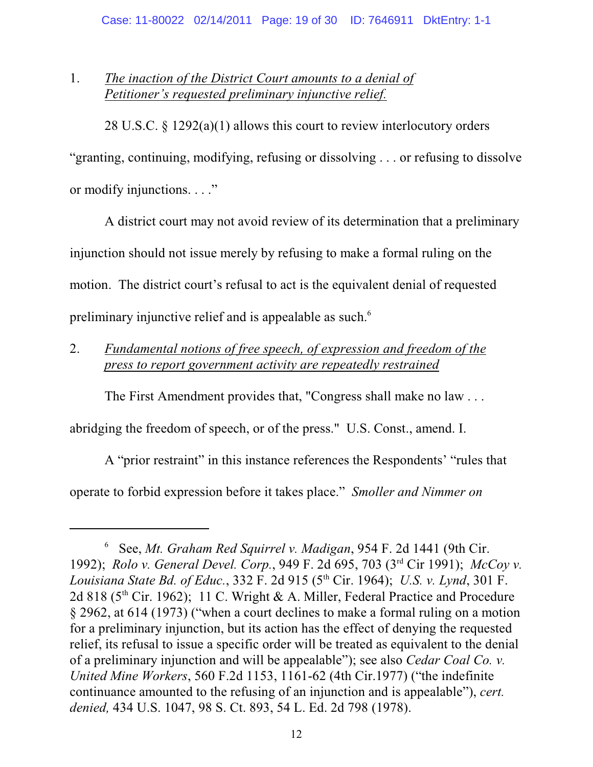# 1. *The inaction of the District Court amounts to a denial of Petitioner's requested preliminary injunctive relief.*

28 U.S.C. § 1292(a)(1) allows this court to review interlocutory orders "granting, continuing, modifying, refusing or dissolving . . . or refusing to dissolve or modify injunctions. . . ."

A district court may not avoid review of its determination that a preliminary injunction should not issue merely by refusing to make a formal ruling on the motion. The district court's refusal to act is the equivalent denial of requested preliminary injunctive relief and is appealable as such. 6

2. *Fundamental notions of free speech, of expression and freedom of the press to report government activity are repeatedly restrained*

The First Amendment provides that, "Congress shall make no law . . .

abridging the freedom of speech, or of the press." U.S. Const., amend. I.

A "prior restraint" in this instance references the Respondents' "rules that operate to forbid expression before it takes place." *Smoller and Nimmer on*

See, *Mt. Graham Red Squirrel v. Madigan*, 954 F. 2d 1441 (9th Cir. <sup>6</sup> 1992); *Rolo v. General Devel. Corp.*, 949 F. 2d 695, 703 (3<sup>rd</sup> Cir 1991); *McCoy v. Louisiana State Bd. of Educ.*, 332 F. 2d 915 (5<sup>th</sup> Cir. 1964); *U.S. v. Lynd*, 301 F. 2d 818 ( $5<sup>th</sup>$  Cir. 1962); 11 C. Wright & A. Miller, Federal Practice and Procedure § 2962, at 614 (1973) ("when a court declines to make a formal ruling on a motion for a preliminary injunction, but its action has the effect of denying the requested relief, its refusal to issue a specific order will be treated as equivalent to the denial of a preliminary injunction and will be appealable"); see also *Cedar Coal Co. v. United Mine Workers*, 560 F.2d 1153, 1161-62 (4th Cir.1977) ("the indefinite continuance amounted to the refusing of an injunction and is appealable"), *cert. denied,* 434 U.S. 1047, 98 S. Ct. 893, 54 L. Ed. 2d 798 (1978).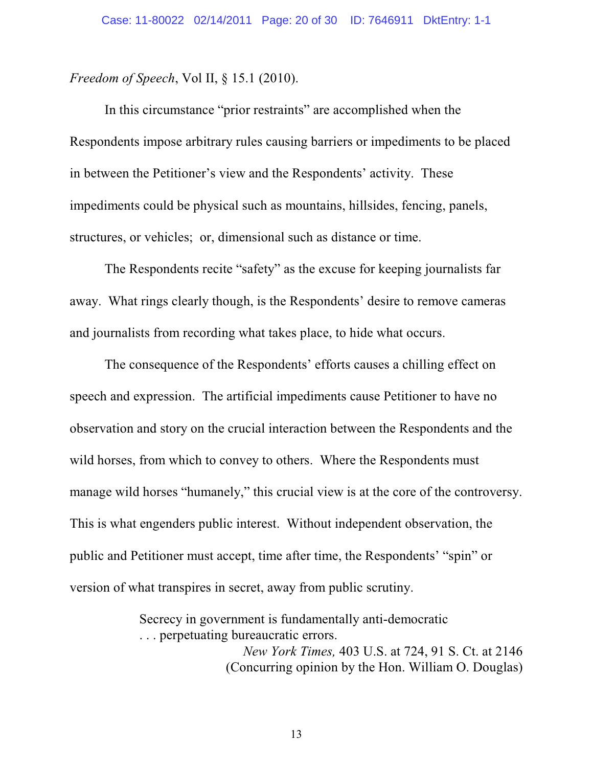#### *Freedom of Speech*, Vol II, § 15.1 (2010).

In this circumstance "prior restraints" are accomplished when the Respondents impose arbitrary rules causing barriers or impediments to be placed in between the Petitioner's view and the Respondents' activity. These impediments could be physical such as mountains, hillsides, fencing, panels, structures, or vehicles; or, dimensional such as distance or time.

The Respondents recite "safety" as the excuse for keeping journalists far away. What rings clearly though, is the Respondents' desire to remove cameras and journalists from recording what takes place, to hide what occurs.

The consequence of the Respondents' efforts causes a chilling effect on speech and expression. The artificial impediments cause Petitioner to have no observation and story on the crucial interaction between the Respondents and the wild horses, from which to convey to others. Where the Respondents must manage wild horses "humanely," this crucial view is at the core of the controversy. This is what engenders public interest. Without independent observation, the public and Petitioner must accept, time after time, the Respondents' "spin" or version of what transpires in secret, away from public scrutiny.

> Secrecy in government is fundamentally anti-democratic . . . perpetuating bureaucratic errors. *New York Times,* 403 U.S. at 724, 91 S. Ct. at 2146

(Concurring opinion by the Hon. William O. Douglas)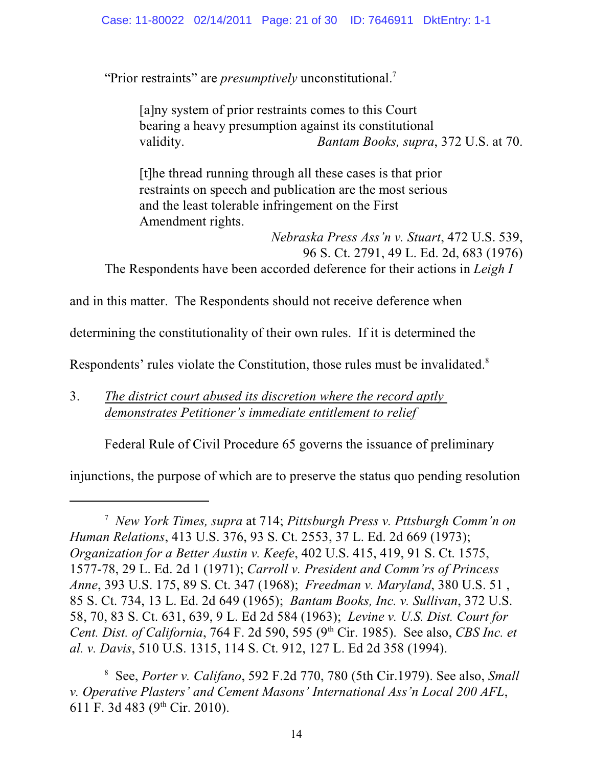"Prior restraints" are *presumptively* unconstitutional.<sup>7</sup>

[a]ny system of prior restraints comes to this Court bearing a heavy presumption against its constitutional validity. *Bantam Books, supra*, 372 U.S. at 70.

[t]he thread running through all these cases is that prior restraints on speech and publication are the most serious and the least tolerable infringement on the First Amendment rights.

*Nebraska Press Ass'n v. Stuart*, 472 U.S. 539, 96 S. Ct. 2791, 49 L. Ed. 2d, 683 (1976) The Respondents have been accorded deference for their actions in *Leigh I*

and in this matter. The Respondents should not receive deference when

determining the constitutionality of their own rules. If it is determined the

Respondents' rules violate the Constitution, those rules must be invalidated.<sup>8</sup>

3. *The district court abused its discretion where the record aptly demonstrates Petitioner's immediate entitlement to relief*

Federal Rule of Civil Procedure 65 governs the issuance of preliminary

injunctions, the purpose of which are to preserve the status quo pending resolution

*New York Times, supra* at 714; *Pittsburgh Press v. Pttsburgh Comm'n on* <sup>7</sup> *Human Relations*, 413 U.S. 376, 93 S. Ct. 2553, 37 L. Ed. 2d 669 (1973); *Organization for a Better Austin v. Keefe*, 402 U.S. 415, 419, 91 S. Ct. 1575, 1577-78, 29 L. Ed. 2d 1 (1971); *Carroll v. President and Comm'rs of Princess Anne*, 393 U.S. 175, 89 S. Ct. 347 (1968); *Freedman v. Maryland*, 380 U.S. 51 , 85 S. Ct. 734, 13 L. Ed. 2d 649 (1965); *Bantam Books, Inc. v. Sullivan*, 372 U.S. 58, 70, 83 S. Ct. 631, 639, 9 L. Ed 2d 584 (1963); *Levine v. U.S. Dist. Court for Cent. Dist. of California, 764 F. 2d 590, 595 (9th Cir. 1985). See also, CBS Inc. et al. v. Davis*, 510 U.S. 1315, 114 S. Ct. 912, 127 L. Ed 2d 358 (1994).

See, *Porter v. Califano*, 592 F.2d 770, 780 (5th Cir.1979). See also, *Small* <sup>8</sup> *v. Operative Plasters' and Cement Masons' International Ass'n Local 200 AFL*, 611 F. 3d 483 ( $9<sup>th</sup>$  Cir. 2010).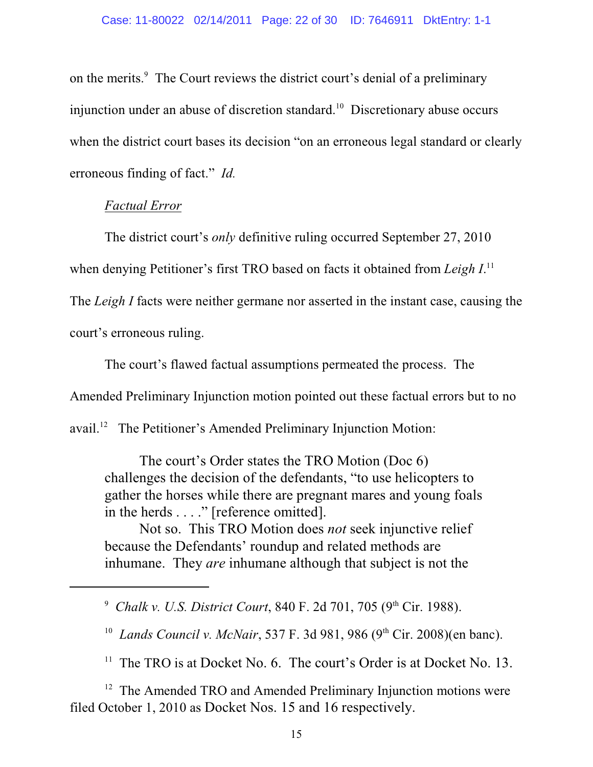on the merits.<sup>9</sup> The Court reviews the district court's denial of a preliminary injunction under an abuse of discretion standard.<sup>10</sup> Discretionary abuse occurs when the district court bases its decision "on an erroneous legal standard or clearly erroneous finding of fact." *Id.*

#### *Factual Error*

The district court's *only* definitive ruling occurred September 27, 2010 when denying Petitioner's first TRO based on facts it obtained from *Leigh I*.<sup>11</sup> The *Leigh I* facts were neither germane nor asserted in the instant case, causing the court's erroneous ruling.

The court's flawed factual assumptions permeated the process. The Amended Preliminary Injunction motion pointed out these factual errors but to no avail.<sup>12</sup> The Petitioner's Amended Preliminary Injunction Motion:

The court's Order states the TRO Motion (Doc 6) challenges the decision of the defendants, "to use helicopters to gather the horses while there are pregnant mares and young foals in the herds . . . ." [reference omitted].

Not so. This TRO Motion does *not* seek injunctive relief because the Defendants' roundup and related methods are inhumane. They *are* inhumane although that subject is not the

<sup>&</sup>lt;sup>9</sup> Chalk v. U.S. District Court, 840 F. 2d 701, 705 (9<sup>th</sup> Cir. 1988).

<sup>&</sup>lt;sup>10</sup> Lands Council v. McNair, 537 F. 3d 981, 986 (9<sup>th</sup> Cir. 2008)(en banc).

<sup>&</sup>lt;sup>11</sup> The TRO is at Docket No. 6. The court's Order is at Docket No. 13.

 $12$  The Amended TRO and Amended Preliminary Injunction motions were filed October 1, 2010 as Docket Nos. 15 and 16 respectively.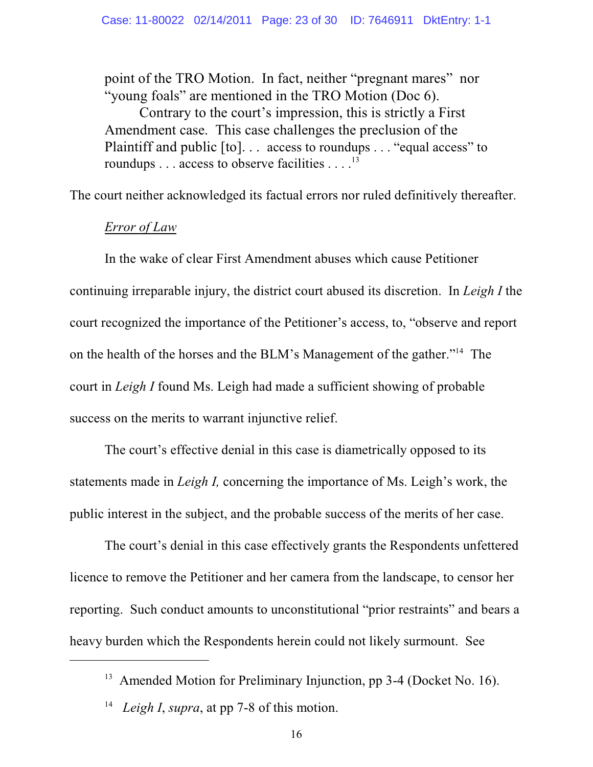point of the TRO Motion. In fact, neither "pregnant mares" nor "young foals" are mentioned in the TRO Motion (Doc 6).

Contrary to the court's impression, this is strictly a First Amendment case. This case challenges the preclusion of the Plaintiff and public [to]... access to roundups ... "equal access" to roundups . . . access to observe facilities . . . .<sup>13</sup>

The court neither acknowledged its factual errors nor ruled definitively thereafter.

# *Error of Law*

In the wake of clear First Amendment abuses which cause Petitioner continuing irreparable injury, the district court abused its discretion. In *Leigh I* the court recognized the importance of the Petitioner's access, to, "observe and report on the health of the horses and the BLM's Management of the gather."<sup>14</sup> The court in *Leigh I* found Ms. Leigh had made a sufficient showing of probable success on the merits to warrant injunctive relief.

The court's effective denial in this case is diametrically opposed to its statements made in *Leigh I,* concerning the importance of Ms. Leigh's work, the public interest in the subject, and the probable success of the merits of her case.

The court's denial in this case effectively grants the Respondents unfettered licence to remove the Petitioner and her camera from the landscape, to censor her reporting. Such conduct amounts to unconstitutional "prior restraints" and bears a heavy burden which the Respondents herein could not likely surmount. See

<sup>&</sup>lt;sup>13</sup> Amended Motion for Preliminary Injunction, pp 3-4 (Docket No. 16).

<sup>&</sup>lt;sup>14</sup> *Leigh I*, *supra*, at pp 7-8 of this motion.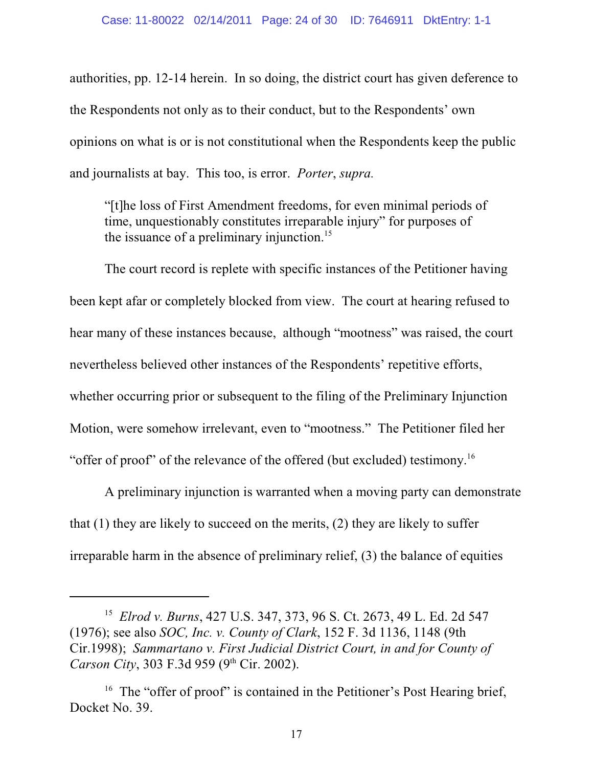authorities, pp. 12-14 herein. In so doing, the district court has given deference to the Respondents not only as to their conduct, but to the Respondents' own opinions on what is or is not constitutional when the Respondents keep the public and journalists at bay. This too, is error. *Porter*, *supra.*

"[t]he loss of First Amendment freedoms, for even minimal periods of time, unquestionably constitutes irreparable injury" for purposes of the issuance of a preliminary injunction.<sup>15</sup>

The court record is replete with specific instances of the Petitioner having been kept afar or completely blocked from view. The court at hearing refused to hear many of these instances because, although "mootness" was raised, the court nevertheless believed other instances of the Respondents' repetitive efforts, whether occurring prior or subsequent to the filing of the Preliminary Injunction Motion, were somehow irrelevant, even to "mootness." The Petitioner filed her "offer of proof" of the relevance of the offered (but excluded) testimony.<sup>16</sup>

A preliminary injunction is warranted when a moving party can demonstrate that (1) they are likely to succeed on the merits, (2) they are likely to suffer irreparable harm in the absence of preliminary relief, (3) the balance of equities

<sup>&</sup>lt;sup>15</sup> Elrod v. Burns, 427 U.S. 347, 373, 96 S. Ct. 2673, 49 L. Ed. 2d 547 (1976); see also *SOC, Inc. v. County of Clark*, 152 F. 3d 1136, 1148 (9th Cir.1998); *Sammartano v. First Judicial District Court, in and for County of Carson City*, 303 F.3d 959 (9<sup>th</sup> Cir. 2002).

<sup>&</sup>lt;sup>16</sup> The "offer of proof" is contained in the Petitioner's Post Hearing brief, Docket No. 39.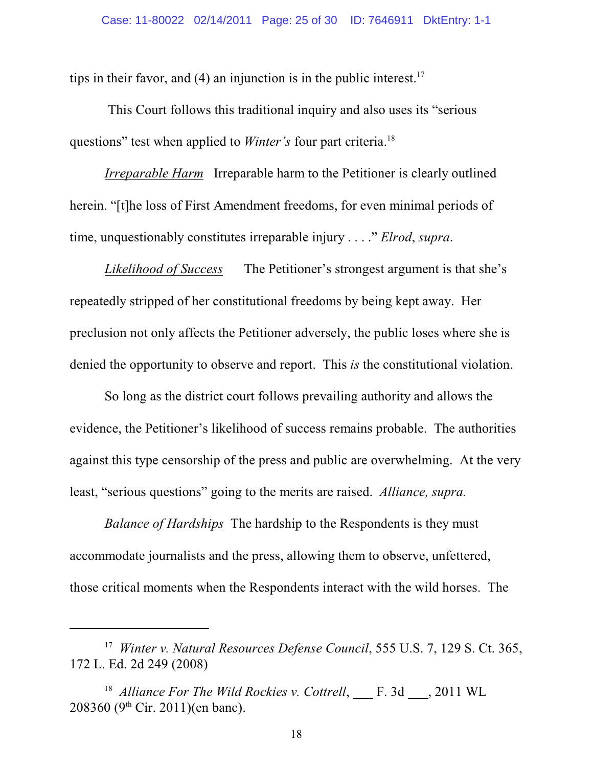tips in their favor, and  $(4)$  an injunction is in the public interest.<sup>17</sup>

 This Court follows this traditional inquiry and also uses its "serious questions" test when applied to *Winter's* four part criteria.<sup>18</sup>

*Irreparable Harm* Irreparable harm to the Petitioner is clearly outlined herein. "[t]he loss of First Amendment freedoms, for even minimal periods of time, unquestionably constitutes irreparable injury . . . ." *Elrod*, *supra*.

*Likelihood of Success* The Petitioner's strongest argument is that she's repeatedly stripped of her constitutional freedoms by being kept away. Her preclusion not only affects the Petitioner adversely, the public loses where she is denied the opportunity to observe and report. This *is* the constitutional violation.

So long as the district court follows prevailing authority and allows the evidence, the Petitioner's likelihood of success remains probable. The authorities against this type censorship of the press and public are overwhelming. At the very least, "serious questions" going to the merits are raised. *Alliance, supra.*

*Balance of Hardships* The hardship to the Respondents is they must accommodate journalists and the press, allowing them to observe, unfettered, those critical moments when the Respondents interact with the wild horses. The

<sup>&</sup>lt;sup>17</sup> Winter v. Natural Resources Defense Council, 555 U.S. 7, 129 S. Ct. 365, 172 L. Ed. 2d 249 (2008)

<sup>&</sup>lt;sup>18</sup> Alliance For The Wild Rockies v. Cottrell, <u>F. 3d</u> \_\_\_, 2011 WL 208360 (9<sup>th</sup> Cir. 2011)(en banc).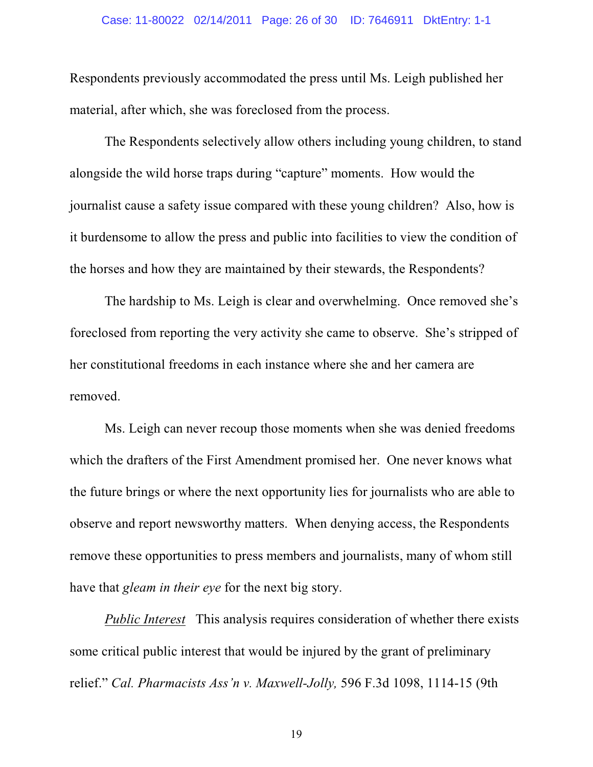Respondents previously accommodated the press until Ms. Leigh published her material, after which, she was foreclosed from the process.

The Respondents selectively allow others including young children, to stand alongside the wild horse traps during "capture" moments. How would the journalist cause a safety issue compared with these young children? Also, how is it burdensome to allow the press and public into facilities to view the condition of the horses and how they are maintained by their stewards, the Respondents?

The hardship to Ms. Leigh is clear and overwhelming. Once removed she's foreclosed from reporting the very activity she came to observe. She's stripped of her constitutional freedoms in each instance where she and her camera are removed.

Ms. Leigh can never recoup those moments when she was denied freedoms which the drafters of the First Amendment promised her. One never knows what the future brings or where the next opportunity lies for journalists who are able to observe and report newsworthy matters. When denying access, the Respondents remove these opportunities to press members and journalists, many of whom still have that *gleam in their eye* for the next big story.

*Public Interest* This analysis requires consideration of whether there exists some critical public interest that would be injured by the grant of preliminary relief." *Cal. Pharmacists Ass'n v. Maxwell-Jolly,* 596 F.3d 1098, 1114-15 (9th

19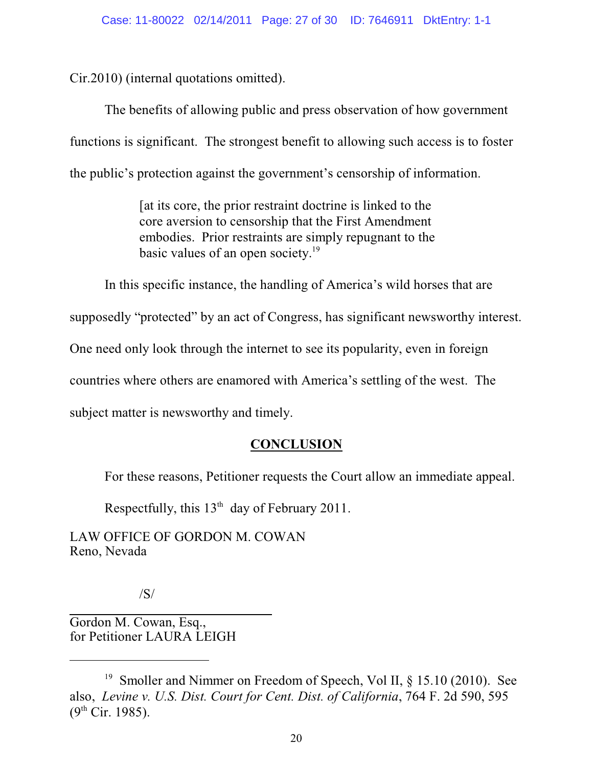Cir.2010) (internal quotations omitted).

The benefits of allowing public and press observation of how government functions is significant. The strongest benefit to allowing such access is to foster the public's protection against the government's censorship of information.

> [at its core, the prior restraint doctrine is linked to the core aversion to censorship that the First Amendment embodies. Prior restraints are simply repugnant to the basic values of an open society.<sup>19</sup>

In this specific instance, the handling of America's wild horses that are

supposedly "protected" by an act of Congress, has significant newsworthy interest.

One need only look through the internet to see its popularity, even in foreign

countries where others are enamored with America's settling of the west. The

subject matter is newsworthy and timely.

# **CONCLUSION**

For these reasons, Petitioner requests the Court allow an immediate appeal.

Respectfully, this  $13<sup>th</sup>$  day of February 2011.

LAW OFFICE OF GORDON M. COWAN Reno, Nevada

/S/

<sup>&</sup>lt;sup>19</sup> Smoller and Nimmer on Freedom of Speech, Vol II, § 15.10 (2010). See also, *Levine v. U.S. Dist. Court for Cent. Dist. of California*, 764 F. 2d 590, 595  $(9<sup>th</sup> Cir. 1985)$ .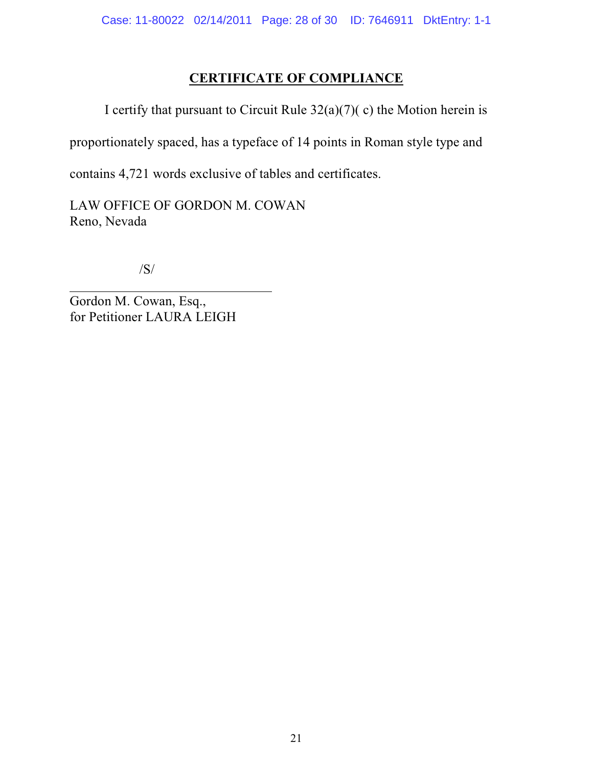# **CERTIFICATE OF COMPLIANCE**

I certify that pursuant to Circuit Rule  $32(a)(7)(c)$  the Motion herein is proportionately spaced, has a typeface of 14 points in Roman style type and

contains 4,721 words exclusive of tables and certificates.

LAW OFFICE OF GORDON M. COWAN Reno, Nevada

/S/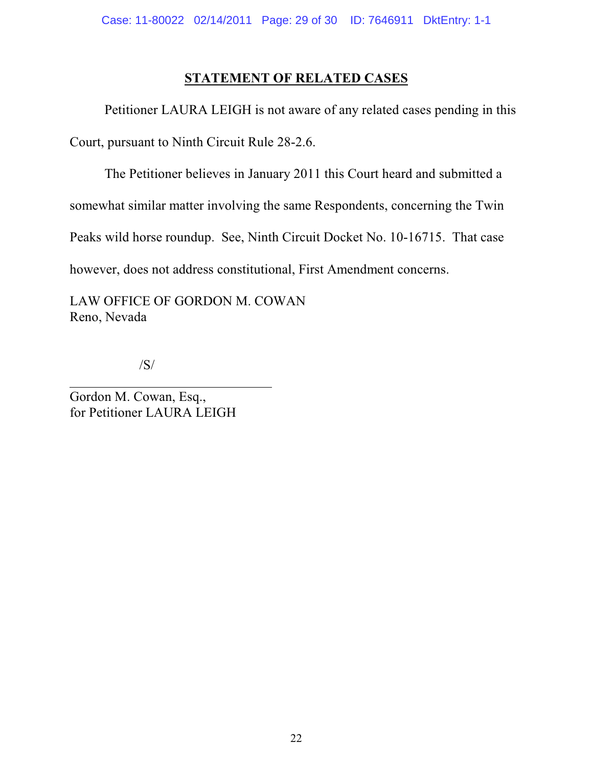# **STATEMENT OF RELATED CASES**

Petitioner LAURA LEIGH is not aware of any related cases pending in this Court, pursuant to Ninth Circuit Rule 28-2.6.

The Petitioner believes in January 2011 this Court heard and submitted a

somewhat similar matter involving the same Respondents, concerning the Twin

Peaks wild horse roundup. See, Ninth Circuit Docket No. 10-16715. That case

however, does not address constitutional, First Amendment concerns.

LAW OFFICE OF GORDON M. COWAN Reno, Nevada

/S/